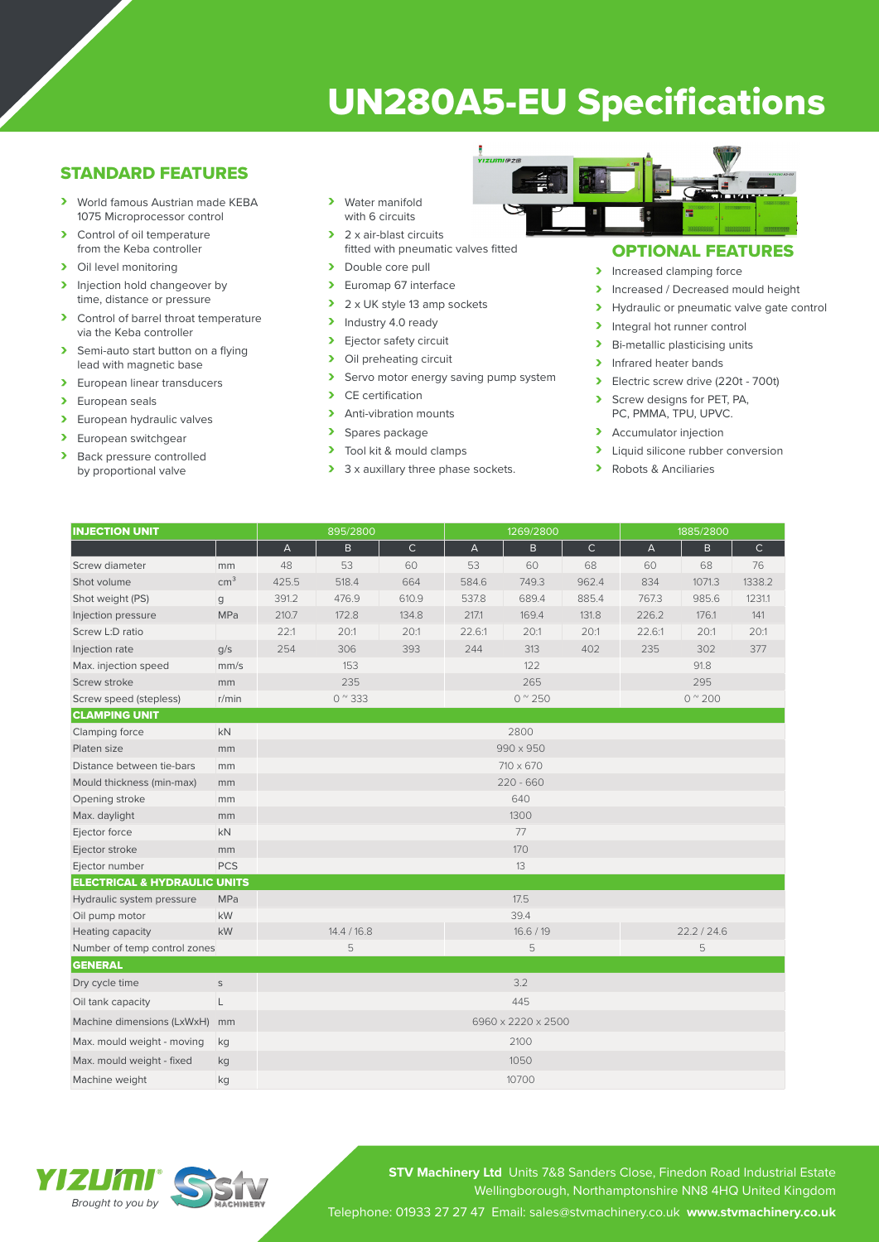# UN280A5-EU Specifications

## STANDARD FEATURES

- › World famous Austrian made KEBA 1075 Microprocessor control
- > Control of oil temperature from the Keba controller
- > Oil level monitoring
- > Injection hold changeover by time, distance or pressure
- › Control of barrel throat temperature via the Keba controller
- > Semi-auto start button on a flying lead with magnetic base
- > European linear transducers
- > European seals
- > European hydraulic valves
- > European switchgear
- > Back pressure controlled by proportional valve
- > Water manifold with 6 circuits
- > 2 x air-blast circuits fitted with pneumatic valves fitted
- > Double core pull
- › Euromap 67 interface
- $\geq 2 \times UK$  style 13 amp sockets<br>  $\geq 1$  Industry 4.0 ready
- Industry 4.0 ready > Ejector safety circuit
- > Oil preheating circuit
- > Servo motor energy saving pump system
- $\sum$  CE certification<br> $\sum$  Anti-vibration m
- Anti-vibration mounts
- > Spares package<br>> Tool kit & mould
- Tool kit & mould clamps
- > 3 x auxillary three phase sockets.



## OPTIONAL FEATURES

- > Increased clamping force
- > Increased / Decreased mould height
- > Hydraulic or pneumatic valve gate control
- > Integral hot runner control<br>> Bi-metallic plasticising unit
- Bi-metallic plasticising units
- > Infrared heater bands
- $\triangleright$  Electric screw drive (220t 700t)<br>  $\triangleright$  Screw designs for PFT PA
- Screw designs for PET, PA, PC, PMMA, TPU, UPVC.
- > Accumulator injection
- > Liquid silicone rubber conversion
- › Robots & Anciliaries

| <b>INJECTION UNIT</b>                   |                 | 895/2800           |           |              | 1269/2800                 |              |              | 1885/2800                 |        |              |  |
|-----------------------------------------|-----------------|--------------------|-----------|--------------|---------------------------|--------------|--------------|---------------------------|--------|--------------|--|
|                                         |                 | $\mathsf A$        | B.        | $\mathsf{C}$ | $\boldsymbol{\mathsf{A}}$ | $\mathsf{B}$ | $\mathsf{C}$ | $\boldsymbol{\mathsf{A}}$ | B      | $\mathsf{C}$ |  |
| Screw diameter                          | mm              | 48                 | 53        | 60           | 53                        | 60           | 68           | 60                        | 68     | 76           |  |
| Shot volume                             | cm <sup>3</sup> | 425.5              | 518.4     | 664          | 584.6                     | 749.3        | 962.4        | 834                       | 1071.3 | 1338.2       |  |
| Shot weight (PS)                        | g               | 391.2              | 476.9     | 610.9        | 537.8                     | 689.4        | 885.4        | 767.3                     | 985.6  | 1231.1       |  |
| Injection pressure                      | MPa             | 210.7              | 172.8     | 134.8        | 217.1                     | 169.4        | 131.8        | 226.2                     | 176.1  | 141          |  |
| Screw L:D ratio                         |                 | 22:1               | 20:1      | 20:1         | 22.6:1                    | 20:1         | 20:1         | 22.6:1                    | 20:1   | 20:1         |  |
| Injection rate                          | q/s             | 254                | 306       | 393          | 244                       | 313          | 402          | 235                       | 302    | 377          |  |
| Max. injection speed                    | mm/s            | 153                |           |              | 122                       |              |              | 91.8                      |        |              |  |
| Screw stroke                            | mm              | 235                |           |              | 265                       |              |              | 295                       |        |              |  |
| Screw speed (stepless)                  | r/min           | $0^{\circ}333$     |           |              | $0^{\prime\prime}$ 250    |              |              | $0^{\prime\prime}$ 200    |        |              |  |
| <b>CLAMPING UNIT</b>                    |                 |                    |           |              |                           |              |              |                           |        |              |  |
| Clamping force                          | kN              |                    |           |              | 2800                      |              |              |                           |        |              |  |
| Platen size                             | mm              |                    | 990 x 950 |              |                           |              |              |                           |        |              |  |
| Distance between tie-bars               | mm              |                    |           |              |                           |              | 710 x 670    |                           |        |              |  |
| Mould thickness (min-max)               | mm              | $220 - 660$        |           |              |                           |              |              |                           |        |              |  |
| Opening stroke                          | mm              | 640                |           |              |                           |              |              |                           |        |              |  |
| Max. daylight                           | mm              |                    |           |              | 1300                      |              |              |                           |        |              |  |
| Ejector force                           | kN              |                    |           |              |                           | 77           |              |                           |        |              |  |
| Ejector stroke                          | mm              |                    |           |              | 170                       |              |              |                           |        |              |  |
| Ejector number                          | <b>PCS</b>      |                    |           |              | 13                        |              |              |                           |        |              |  |
| <b>ELECTRICAL &amp; HYDRAULIC UNITS</b> |                 |                    |           |              |                           |              |              |                           |        |              |  |
| Hydraulic system pressure               | <b>MPa</b>      |                    |           |              | 17.5                      |              |              |                           |        |              |  |
| Oil pump motor                          | kW              |                    |           |              | 39.4                      |              |              |                           |        |              |  |
| Heating capacity                        | kW              | 14.4 / 16.8        |           |              | 16.6 / 19                 |              |              | 22.2 / 24.6               |        |              |  |
| Number of temp control zones            |                 |                    | 5         |              |                           | 5            |              |                           | 5      |              |  |
| <b>GENERAL</b>                          |                 |                    |           |              |                           |              |              |                           |        |              |  |
| Dry cycle time                          | $\mathsf S$     | 3.2                |           |              |                           |              |              |                           |        |              |  |
| Oil tank capacity                       | L               | 445                |           |              |                           |              |              |                           |        |              |  |
| Machine dimensions (LxWxH)              | mm              | 6960 x 2220 x 2500 |           |              |                           |              |              |                           |        |              |  |
| Max. mould weight - moving              | kg              | 2100               |           |              |                           |              |              |                           |        |              |  |
| Max. mould weight - fixed               | kg              | 1050               |           |              |                           |              |              |                           |        |              |  |
| Machine weight                          | kg              |                    |           |              | 10700                     |              |              |                           |        |              |  |

**STV Machinery Ltd** Units 7&8 Sanders Close, Finedon Road Industrial Estate Wellingborough, Northamptonshire NN8 4HQ United Kingdom Telephone: 01933 27 27 47 Email: sales@stvmachinery.co.uk **www.stvmachinery.co.uk**